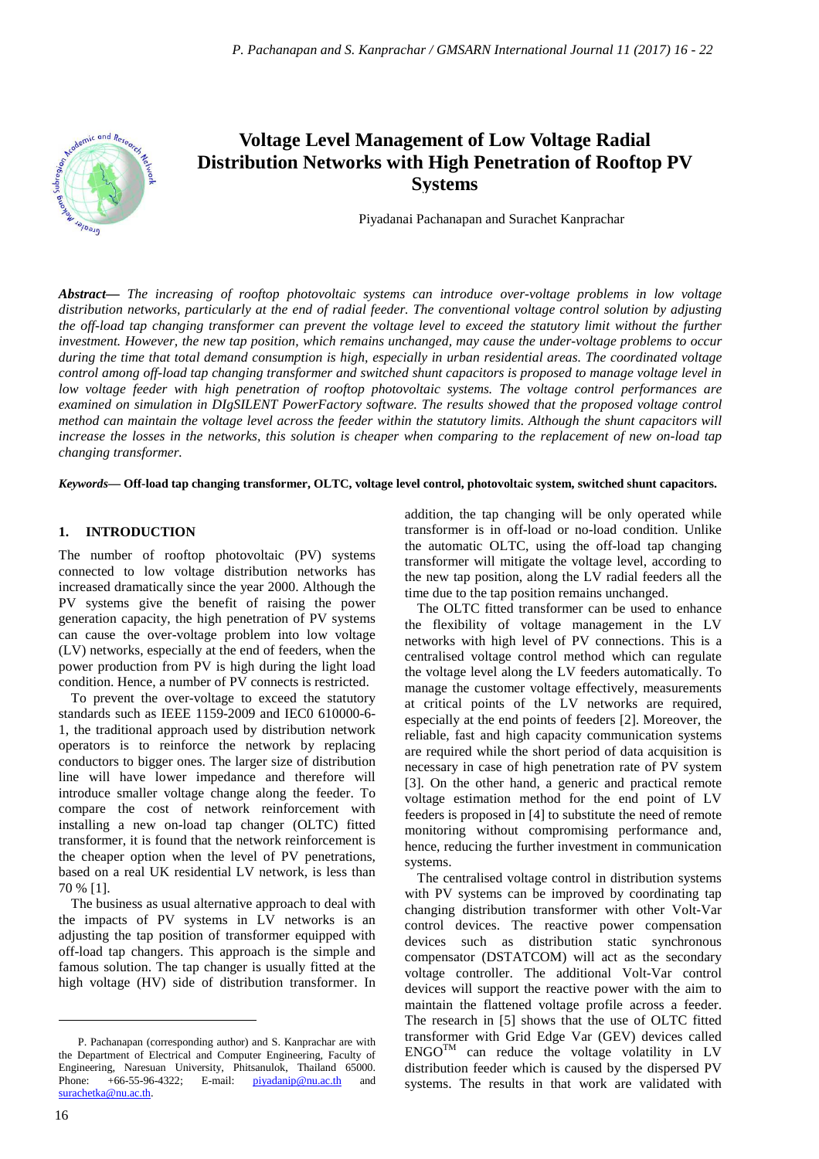

# **Voltage Level Management of Low Voltage Radial Distribution Networks with High Penetration of Rooftop PV Systems**

Piyadanai Pachanapan and Surachet Kanprachar

*Abstract***—** *The increasing of rooftop photovoltaic systems can introduce over-voltage problems in low voltage distribution networks, particularly at the end of radial feeder. The conventional voltage control solution by adjusting the off-load tap changing transformer can prevent the voltage level to exceed the statutory limit without the further investment. However, the new tap position, which remains unchanged, may cause the under-voltage problems to occur during the time that total demand consumption is high, especially in urban residential areas. The coordinated voltage control among off-load tap changing transformer and switched shunt capacitors is proposed to manage voltage level in low voltage feeder with high penetration of rooftop photovoltaic systems. The voltage control performances are examined on simulation in DIgSILENT PowerFactory software. The results showed that the proposed voltage control method can maintain the voltage level across the feeder within the statutory limits. Although the shunt capacitors will increase the losses in the networks, this solution is cheaper when comparing to the replacement of new on-load tap changing transformer.*

*Keywords***— Off-load tap changing transformer, OLTC, voltage level control, photovoltaic system, switched shunt capacitors.**

#### **1. INTRODUCTION**

The number of rooftop photovoltaic (PV) systems connected to low voltage distribution networks has increased dramatically since the year 2000. Although the PV systems give the benefit of raising the power generation capacity, the high penetration of PV systems can cause the over-voltage problem into low voltage (LV) networks, especially at the end of feeders, when the power production from PV is high during the light load condition. Hence, a number of PV connects is restricted.

To prevent the over-voltage to exceed the statutory standards such as IEEE 1159-2009 and IEC0 610000-6- 1, the traditional approach used by distribution network operators is to reinforce the network by replacing conductors to bigger ones. The larger size of distribution line will have lower impedance and therefore will introduce smaller voltage change along the feeder. To compare the cost of network reinforcement with installing a new on-load tap changer (OLTC) fitted transformer, it is found that the network reinforcement is the cheaper option when the level of PV penetrations, based on a real UK residential LV network, is less than 70 % [1].

The business as usual alternative approach to deal with the impacts of PV systems in LV networks is an adjusting the tap position of transformer equipped with off-load tap changers. This approach is the simple and famous solution. The tap changer is usually fitted at the high voltage (HV) side of distribution transformer. In addition, the tap changing will be only operated while transformer is in off-load or no-load condition. Unlike the automatic OLTC, using the off-load tap changing transformer will mitigate the voltage level, according to the new tap position, along the LV radial feeders all the time due to the tap position remains unchanged.

The OLTC fitted transformer can be used to enhance the flexibility of voltage management in the LV networks with high level of PV connections. This is a centralised voltage control method which can regulate the voltage level along the LV feeders automatically. To manage the customer voltage effectively, measurements at critical points of the LV networks are required, especially at the end points of feeders [2]. Moreover, the reliable, fast and high capacity communication systems are required while the short period of data acquisition is necessary in case of high penetration rate of PV system [3]. On the other hand, a generic and practical remote voltage estimation method for the end point of LV feeders is proposed in [4] to substitute the need of remote monitoring without compromising performance and, hence, reducing the further investment in communication systems.

The centralised voltage control in distribution systems with PV systems can be improved by coordinating tap changing distribution transformer with other Volt-Var control devices. The reactive power compensation devices such as distribution static synchronous compensator (DSTATCOM) will act as the secondary voltage controller. The additional Volt-Var control devices will support the reactive power with the aim to maintain the flattened voltage profile across a feeder. The research in [5] shows that the use of OLTC fitted transformer with Grid Edge Var (GEV) devices called  $ENGO^{TM}$  can reduce the voltage volatility in LV distribution feeder which is caused by the dispersed PV systems. The results in that work are validated with

 $\overline{a}$ 

P. Pachanapan (corresponding author) and S. Kanprachar are with the Department of Electrical and Computer Engineering, Faculty of Engineering, Naresuan University, Phitsanulok, Thailand 65000. Phone: +66-55-96-4322; E-mail:  $\frac{\text{piyadanip}\omega_{\text{nu.ac.th}}}{\text{piyadanip}\omega_{\text{nu.ac.th}}}$  and surachetka@nu.ac.th.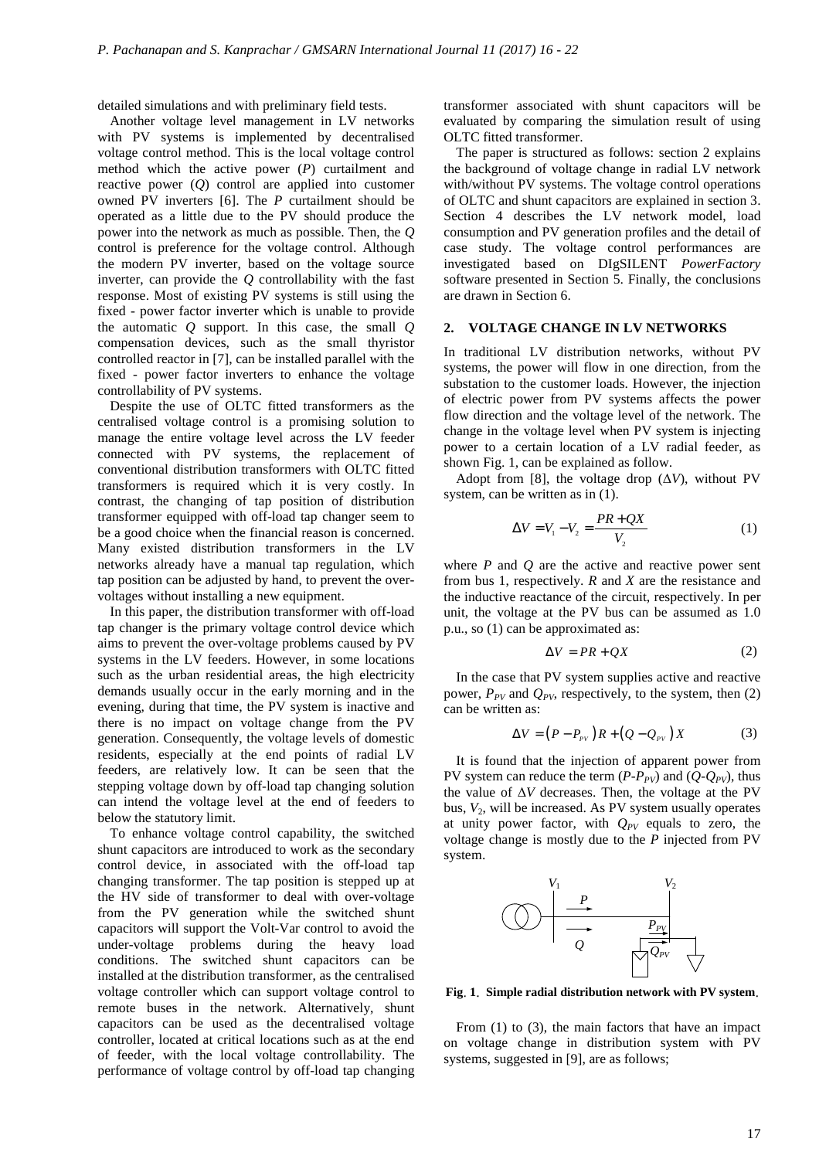detailed simulations and with preliminary field tests.

Another voltage level management in LV networks with PV systems is implemented by decentralised voltage control method. This is the local voltage control method which the active power (*P*) curtailment and reactive power (*Q*) control are applied into customer owned PV inverters [6]. The *P* curtailment should be operated as a little due to the PV should produce the power into the network as much as possible. Then, the *Q* control is preference for the voltage control. Although the modern PV inverter, based on the voltage source inverter, can provide the *Q* controllability with the fast response. Most of existing PV systems is still using the fixed - power factor inverter which is unable to provide the automatic *Q* support. In this case, the small *Q* compensation devices, such as the small thyristor controlled reactor in [7], can be installed parallel with the fixed - power factor inverters to enhance the voltage controllability of PV systems.

Despite the use of OLTC fitted transformers as the centralised voltage control is a promising solution to manage the entire voltage level across the LV feeder connected with PV systems, the replacement of conventional distribution transformers with OLTC fitted transformers is required which it is very costly. In contrast, the changing of tap position of distribution transformer equipped with off-load tap changer seem to be a good choice when the financial reason is concerned. Many existed distribution transformers in the LV networks already have a manual tap regulation, which tap position can be adjusted by hand, to prevent the overvoltages without installing a new equipment.

In this paper, the distribution transformer with off-load tap changer is the primary voltage control device which aims to prevent the over-voltage problems caused by PV systems in the LV feeders. However, in some locations such as the urban residential areas, the high electricity demands usually occur in the early morning and in the evening, during that time, the PV system is inactive and there is no impact on voltage change from the PV generation. Consequently, the voltage levels of domestic residents, especially at the end points of radial LV feeders, are relatively low. It can be seen that the stepping voltage down by off-load tap changing solution can intend the voltage level at the end of feeders to below the statutory limit.

To enhance voltage control capability, the switched shunt capacitors are introduced to work as the secondary control device, in associated with the off-load tap changing transformer. The tap position is stepped up at the HV side of transformer to deal with over-voltage from the PV generation while the switched shunt capacitors will support the Volt-Var control to avoid the under-voltage problems during the heavy load conditions. The switched shunt capacitors can be installed at the distribution transformer, as the centralised voltage controller which can support voltage control to remote buses in the network. Alternatively, shunt capacitors can be used as the decentralised voltage controller, located at critical locations such as at the end of feeder, with the local voltage controllability. The performance of voltage control by off-load tap changing

transformer associated with shunt capacitors will be evaluated by comparing the simulation result of using OLTC fitted transformer.

The paper is structured as follows: section 2 explains the background of voltage change in radial LV network with/without PV systems. The voltage control operations of OLTC and shunt capacitors are explained in section 3. Section 4 describes the LV network model, load consumption and PV generation profiles and the detail of case study. The voltage control performances are investigated based on DIgSILENT *PowerFactory* software presented in Section 5. Finally, the conclusions are drawn in Section 6.

#### **2. VOLTAGE CHANGE IN LV NETWORKS**

In traditional LV distribution networks, without PV systems, the power will flow in one direction, from the substation to the customer loads. However, the injection of electric power from PV systems affects the power flow direction and the voltage level of the network. The change in the voltage level when PV system is injecting power to a certain location of a LV radial feeder, as shown Fig. 1, can be explained as follow.

Adopt from [8], the voltage drop  $(\Delta V)$ , without PV system, can be written as in  $(1)$ .

$$
\Delta V = V_1 - V_2 = \frac{PR + QX}{V_2}
$$
 (1)

where  $P$  and  $Q$  are the active and reactive power sent from bus 1, respectively. *R* and *X* are the resistance and the inductive reactance of the circuit, respectively. In per unit, the voltage at the PV bus can be assumed as 1.0 p.u., so (1) can be approximated as:

$$
\Delta V = PR + QX \tag{2}
$$

In the case that PV system supplies active and reactive power,  $P_{PV}$  and  $Q_{PV}$ , respectively, to the system, then (2) can be written as:

$$
\Delta V = \left(P - P_{\scriptscriptstyle PV}\right)R + \left(Q - Q_{\scriptscriptstyle PV}\right)X\tag{3}
$$

It is found that the injection of apparent power from PV system can reduce the term  $(P-P_{PV})$  and  $(Q-Q_{PV})$ , thus the value of Δ*V* decreases. Then, the voltage at the PV bus,  $V_2$ , will be increased. As PV system usually operates at unity power factor, with  $Q_{PV}$  equals to zero, the voltage change is mostly due to the *P* injected from PV system.



**Fig**. **1**. **Simple radial distribution network with PV system**.

From (1) to (3), the main factors that have an impact on voltage change in distribution system with PV systems, suggested in [9], are as follows;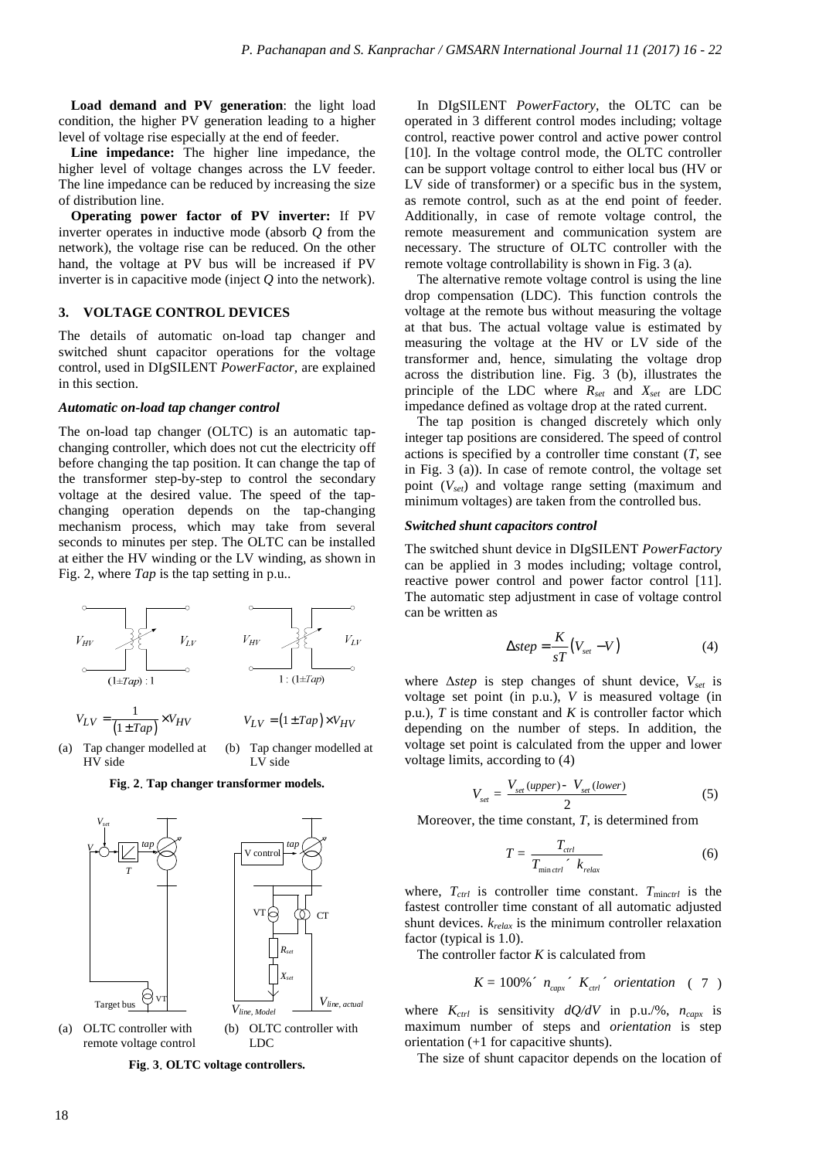**Load demand and PV generation**: the light load condition, the higher PV generation leading to a higher level of voltage rise especially at the end of feeder.

**Line impedance:** The higher line impedance, the higher level of voltage changes across the LV feeder. The line impedance can be reduced by increasing the size of distribution line.

**Operating power factor of PV inverter:** If PV inverter operates in inductive mode (absorb *Q* from the network), the voltage rise can be reduced. On the other hand, the voltage at PV bus will be increased if PV inverter is in capacitive mode (inject *Q* into the network).

#### **3. VOLTAGE CONTROL DEVICES**

The details of automatic on-load tap changer and switched shunt capacitor operations for the voltage control, used in DIgSILENT *PowerFactor,* are explained in this section.

#### *Automatic on-load tap changer control*

The on-load tap changer (OLTC) is an automatic tapchanging controller, which does not cut the electricity off before changing the tap position. It can change the tap of the transformer step-by-step to control the secondary voltage at the desired value. The speed of the tapchanging operation depends on the tap-changing mechanism process, which may take from several seconds to minutes per step. The OLTC can be installed at either the HV winding or the LV winding, as shown in Fig. 2, where *Tap* is the tap setting in p.u..







LV side



**Fig**. **3**. **OLTC voltage controllers.** 

In DIgSILENT *PowerFactory*, the OLTC can be operated in 3 different control modes including; voltage control, reactive power control and active power control [10]. In the voltage control mode, the OLTC controller can be support voltage control to either local bus (HV or LV side of transformer) or a specific bus in the system, as remote control, such as at the end point of feeder. Additionally, in case of remote voltage control, the remote measurement and communication system are necessary. The structure of OLTC controller with the remote voltage controllability is shown in Fig. 3 (a).

The alternative remote voltage control is using the line drop compensation (LDC). This function controls the voltage at the remote bus without measuring the voltage at that bus. The actual voltage value is estimated by measuring the voltage at the HV or LV side of the transformer and, hence, simulating the voltage drop across the distribution line. Fig. 3 (b), illustrates the principle of the LDC where *Rset* and *Xset* are LDC impedance defined as voltage drop at the rated current.

The tap position is changed discretely which only integer tap positions are considered. The speed of control actions is specified by a controller time constant (*T*, see in Fig. 3 (a)). In case of remote control, the voltage set point (*Vset*) and voltage range setting (maximum and minimum voltages) are taken from the controlled bus.

#### *Switched shunt capacitors control*

The switched shunt device in DIgSILENT *PowerFactory* can be applied in 3 modes including; voltage control, reactive power control and power factor control [11]. The automatic step adjustment in case of voltage control can be written as

$$
\Delta step = \frac{K}{sT} (V_{set} - V) \tag{4}
$$

where Δ*step* is step changes of shunt device, *Vset* is voltage set point (in p.u.), *V* is measured voltage (in p.u.), *T* is time constant and *K* is controller factor which depending on the number of steps. In addition, the voltage set point is calculated from the upper and lower voltage limits, according to (4)

$$
V_{set} = \frac{V_{set}(upper) - V_{set}(lower)}{2}
$$
 (5)

Moreover, the time constant, *T*, is determined from

$$
T = \frac{T_{\text{ctrl}}}{T_{\text{min}\text{ctrl}}' \cdot k_{\text{relax}}}
$$
(6)

where,  $T_{ctrl}$  is controller time constant.  $T_{minctrl}$  is the fastest controller time constant of all automatic adjusted shunt devices. *krelax* is the minimum controller relaxation factor (typical is 1.0).

The controller factor *K* is calculated from

$$
K = 100\% \text{ m}_{\text{capx}} \text{ K}_{\text{ctrl}} \text{ orientation} \quad (7)
$$

where  $K_{ctrl}$  is sensitivity  $dQ/dV$  in p.u./%,  $n_{capx}$  is maximum number of steps and *orientation* is step orientation (+1 for capacitive shunts).

The size of shunt capacitor depends on the location of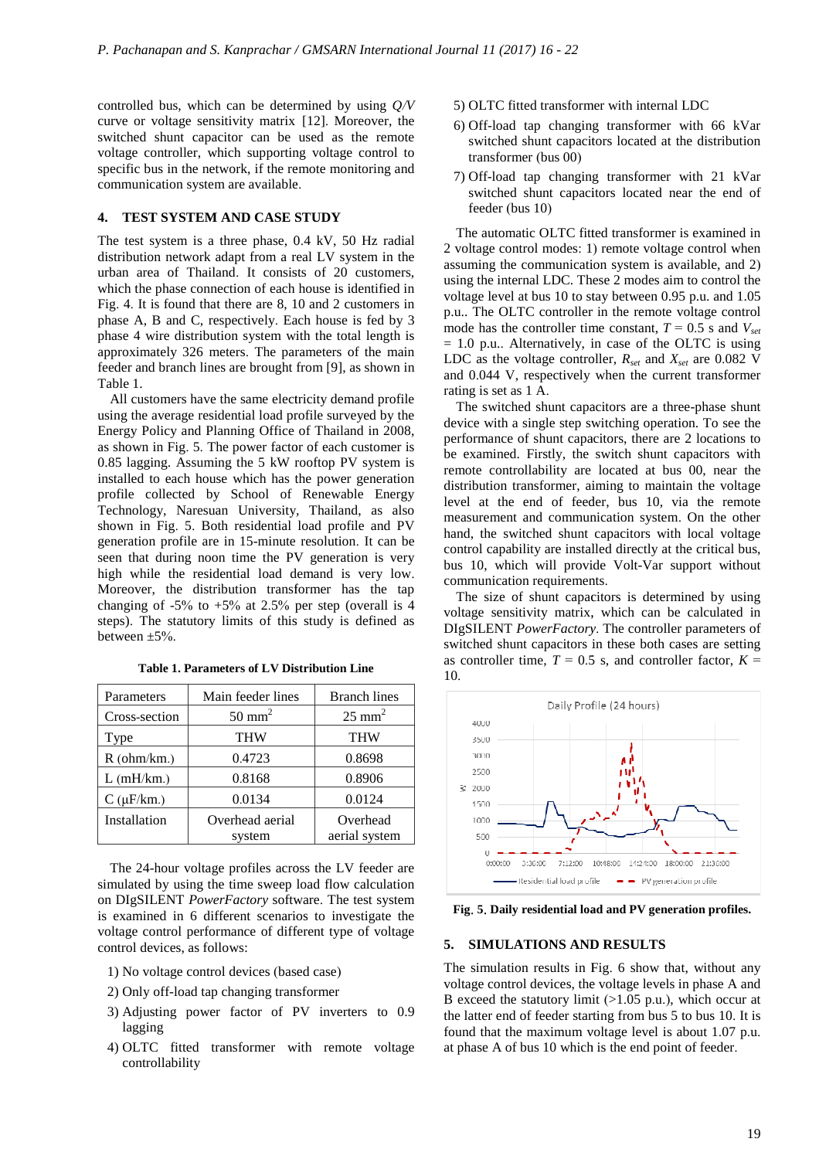controlled bus, which can be determined by using *Q/V* curve or voltage sensitivity matrix [12]. Moreover, the switched shunt capacitor can be used as the remote voltage controller, which supporting voltage control to specific bus in the network, if the remote monitoring and voltage controller, which supporting voltage control to specific bus in the network, if the remote monitoring and communication system are available .

## **4. TEST SYSTEM AND CASE STUDY**

The test system is a three phase, 0 .4 kV, 50 Hz radial distribution network adapt from a real LV system in the urban area of Thailand. It consists of 20 customers, which the phase connection of each house is identified in Fig. 4. It is found that there are 8, 10 and 2 customers in phase A, B and C, respectively. Each house is fed by 3 phase 4 wire distribution system with the total length is approximately 326 meters. The parameters of the main feeder and branch lines are brought from [9], as shown in Table 1.

All customers have the same electricity demand profile using the average residential load profile surveyed by the Energy Policy and Planning Office of Thailand in 2008, as shown in Fig. 5. The power factor of each customer is 0.85 lagging. Assuming the 5 kW rooftop PV system is installed to each house which has the power generation profile collected by School of Renewable Energy Technology, Naresuan University, Thailand, as also shown in Fig. 5. Both residential load profile and PV generation profile are in 15-minute resolution seen that during noon time the PV generation is very high while the residential load demand is very low . Moreover, the distribution transformer has the tap changing of  $-5\%$  to  $+5\%$  at 2.5% per step (overall is 4 steps). The statutory limits of this study is defined as between ±5%. customers have the same electricity demand profile<br>the average residential load profile surveyed by the<br>y Policy and Planning Office of Thailand in 2008,<br>wn in Fig. 5. The power factor of each customer is<br>agging. Assuming

| Parameters     | Main feeder lines         | <b>Branch lines</b>       |
|----------------|---------------------------|---------------------------|
| Cross-section  | $50 \text{ mm}^2$         | $25 \text{ mm}^2$         |
| Type           | <b>THW</b>                | <b>THW</b>                |
| R(ohm/km.)     | 0.4723                    | 0.8698                    |
| $L$ (mH/km.)   | 0.8168                    | 0.8906                    |
| $C(\mu F/km.)$ | 0.0134                    | 0.0124                    |
| Installation   | Overhead aerial<br>system | Overhead<br>aerial system |

**Table 1. Parameters of LV Distribution Line**

The 24-hour voltage profiles across the LV feeder are simulated by using the time sweep load flow calculation on DIgSILENT *PowerFactory* software . The test system is examined in 6 different scenarios to investigate the voltage control performance of different type of voltage control devices, as follows:

- 1) No voltage control devices (based case )
- 2) Only off-load tap changing transformer
- 3) Adjusting power factor of PV inverters to 0.9 lagging
- 4) OLTC fitted transformer with remote voltage controllability
- 5) OLTC fitted transformer with internal LDC
- 6) Off-load tap changing transformer with 66 kVar switched shunt capacitors located at the distribution transformer (bus 00) load tap changing transformer with 66 kVar<br>ched shunt capacitors located at the distribution<br>former (bus 00)<br>load tap changing transformer with 21 kVar
- 7) Off-load tap changing transformer with 21 kVar switched shunt capacitors located near the end of feeder (bus 10)

The automatic OLTC fitted transformer is examined in 2 voltage control modes: 1 ) remote voltage control when assuming the communication system is available, and 2) using the internal LDC. These 2 modes aim to control the . voltage level at bus 10 to stay between 0.95 p.u. and 1.05 p.u.. The OLTC controller in the remote voltage control mode has the controller time constant,  $T = 0.5$  s and  $V_{set}$  $= 1.0$  p.u.. Alternatively, in case of the OLTC is using LDC as the voltage controller, *Rset* and *Xset* are 0.082 V and 0.044 V, respectively when the current transformer rating is set as 1 A.

The switched shunt capacitors are a three-phase shunt device with a single step switching operation. To see the performance of shunt capacitors, there are 2 locations to be examined. Firstly, the switch shunt capacitors with remote controllability are located at bus 00, near the distribution transformer, aiming to maintain the voltage level at the end of feeder, bus 10, via the remote measurement and communication system . On the other hand, the switched shunt capacitors with local voltage control capability are installed directly at the critical bus, bus 10, which will provide Volt Volt-Var support without communication requirements .

The size of shunt capacitors is determined by using voltage sensitivity matrix, which can be calculated in DIgSILENT *PowerFactory* . The controller parameters of switched shunt capacitors in these both cases are setting as controller time,  $T = 0.5$  s, and controller factor,  $K =$ 10.



**Fig**. **5**. **Daily residential load and PV generation profiles profiles.** 

#### **5. SIMULATIONS AND RESULTS**

The simulation results in Fig . 6 show that, without any voltage control devices, the voltage levels in phase A and B exceed the statutory limit (>1.05 p.u.), which occur at the latter end of feeder starting from bus 5 to bus 10 . It is found that the maximum voltage level is about 1 .07 p.u. at phase A of bus 10 which is the end point of feeder .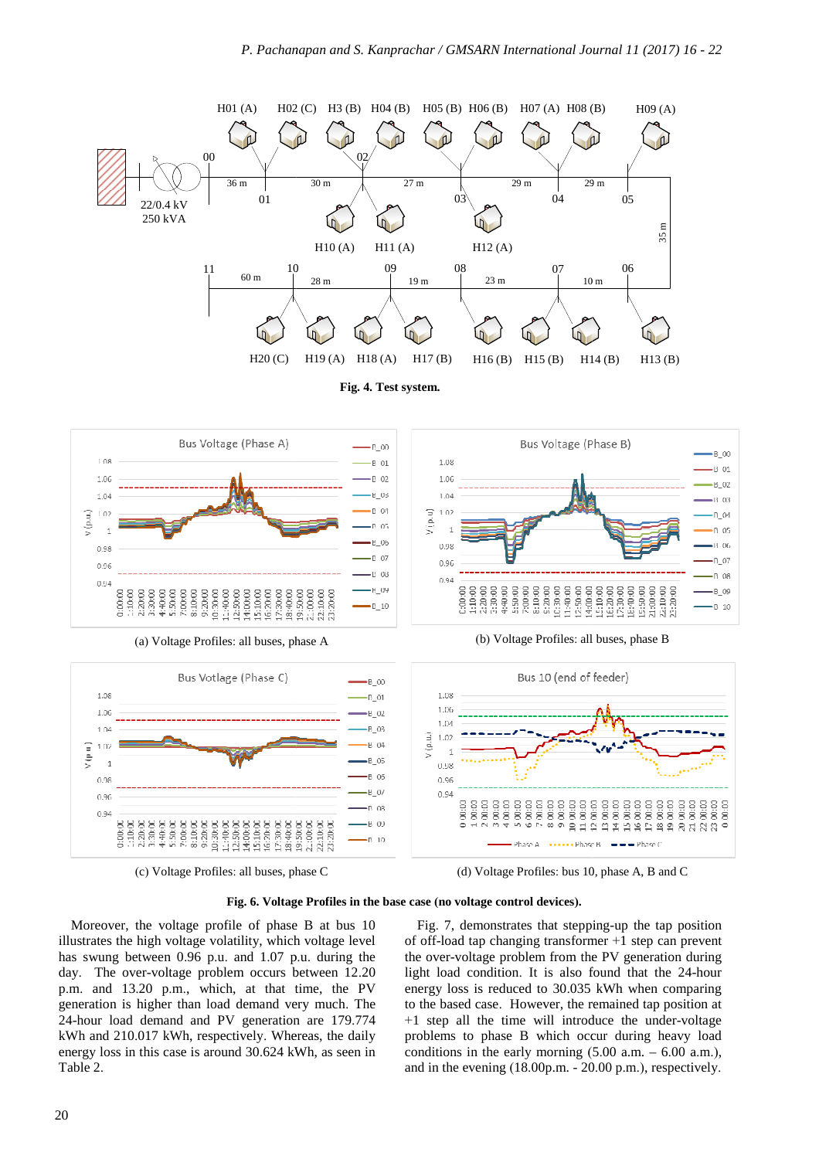

(c) Voltage Profiles: all buses, phase C

(d) Voltage Profiles: bus 10, phase A, B and C

#### **Fig. 6. Voltage Profiles in the base case (no voltage control devices).**

Moreover, the voltage profile of phase B at bus 10 illustrates the high voltage volatility, which voltage level has swung between 0.96 p.u. and 1.07 p .u. during the day. The over-voltage problem occurs between 12.20 p.m. and 13.20 p.m., which, at that time, the PV generation is higher than load demand very much. The 24-hour load demand and PV generation are 179 .774 kWh and 210.017 kWh, respectively. Whereas, the daily energy loss in this case is around 30.624 kWh, as seen in Table 2.

Fig. 7, demonstrates that stepping-up the tap position of off-load tap changing transformer  $+1$  step can prevent the over-voltage problem from the PV generation during the over-voltage problem from the PV generation during<br>light load condition. It is also found that the 24-hour energy loss is reduced to 30.035 kWh when comparing to the based case. However, the remained tap position at to the based case. However, the remained tap position at  $+1$  step all the time will introduce the under-voltage problems to phase B which occur during heavy load conditions in the early morning ( 5.00 a.m. – 6.00 a.m.), and in the evening (18.00p.m. - 20 .00 p.m.), respectively.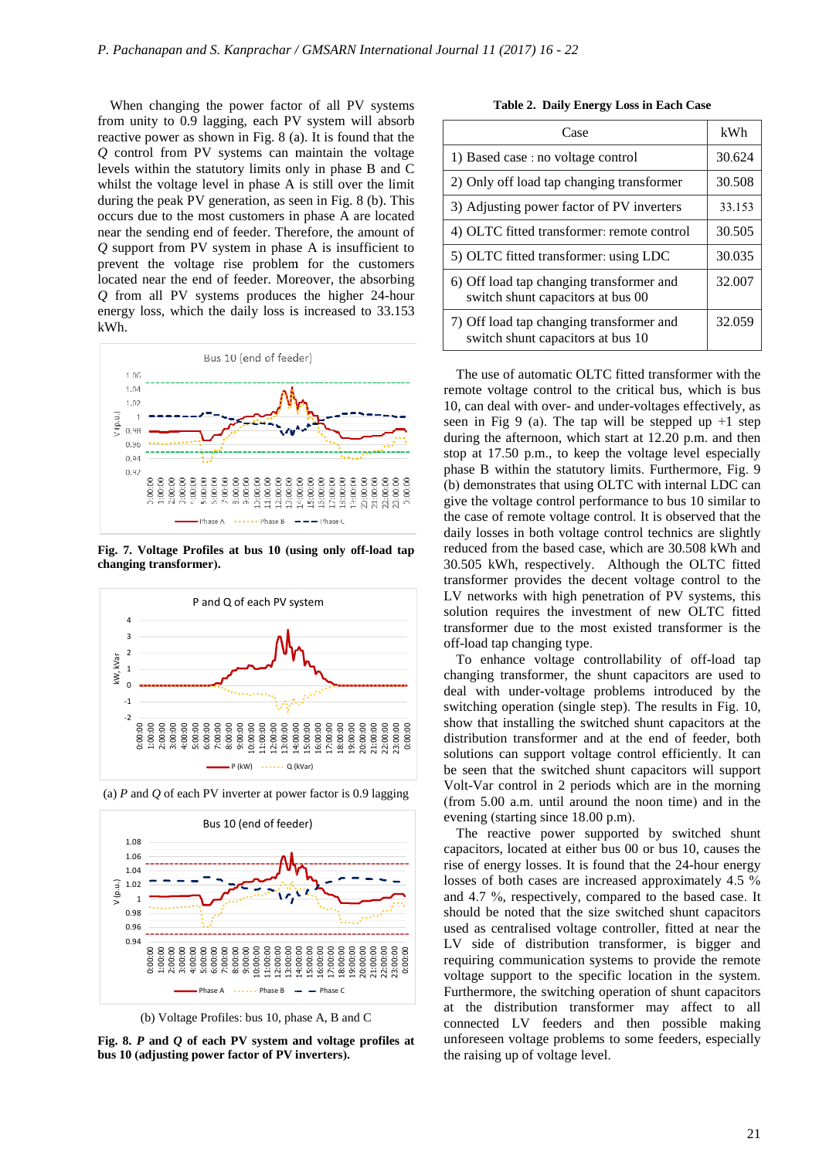When changing the power factor of all PV systems from unity to 0.9 lagging, each PV system will absorb reactive power as shown in Fig. 8 (a). It is found that the reactive power as shown in Fig. 8 (a). It is found that the *Q* control from PV systems can maintain the voltage levels within the statutory limits only in phase B and C whilst the voltage level in phase A is still over the limit during the peak PV generation, as seen in Fig. 8 (b). This occurs due to the most customers in phase A are located near the sending end of feeder. Therefore, the amount of *Q* support from PV system in phase A is insufficient to  $Q$  support from PV system in phase A is insufficient to prevent the voltage rise problem for the customers located near the end of feeder. Moreover, the absorbing *Q* from all PV systems produces produces the higher 24-hour energy loss, which the daily loss is increased to 33.153 kWh.



**Fig. 7. Voltage Profiles at bus 10 (using only off off-load tap changing transformer).**



(a) *P* and *Q* of each PV inverter at power factor is 0.9 lagging



(b) Voltage Profiles: bus 10, phase A, B and C

**Fig. 8.** *P* **and** *Q* **of each PV system and voltage p profiles at bus 10 (adjusting power factor of PV inver inverters).**

**Table 2. Daily Energy Loss in Each Case**

| Case                                                                          | kWh    |
|-------------------------------------------------------------------------------|--------|
| 1) Based case : no voltage control                                            | 30.624 |
| 2) Only off load tap changing transformer                                     | 30.508 |
| 3) Adjusting power factor of PV inverters                                     | 33.153 |
| 4) OLTC fitted transformer: remote control                                    | 30.505 |
| 5) OLTC fitted transformer: using LDC                                         | 30.035 |
| 6) Off load tap changing transformer and<br>switch shunt capacitors at bus 00 | 32.007 |
| 7) Off load tap changing transformer and<br>switch shunt capacitors at bus 10 | 32.059 |

The use of automatic OLTC fitted transformer with the remote voltage control to the critical bus, which is bus 10, can deal with over- and under-voltages effectively, as seen in Fig 9 (a). The tap will be stepped up  $+1$  step during the afternoon, which start at 12 .20 p.m. and then stop at 17.50 p.m., to keep the voltage level especially phase B within the statutory limits . Furthermore, Fig. 9 (b) demonstrates that using OLTC with internal LDC can give the voltage control performance to bus 10 similar to the case of remote voltage control. It is observed that the daily losses in both voltage control technics are slightly reduced from the based case, which are 30 .508 kWh and 30.505 kWh, respectively. Although the OLTC fitted transformer provides the decent voltage control to the LV networks with high penetration of PV systems, this solution requires the investment of new OLTC fitted transformer due to the most existed transformer is the off-load tap changing type.

To enhance voltage controllability of off-load tap changing transformer, the shunt capacitors are used to changing transformer, the shunt capacitors are used to deal with under-voltage problems introduced by the switching operation (single step) . The results in Fig. 10, show that installing the switched shunt capacitors at the distribution transformer and at the end of feeder, both solutions can support voltage control efficiently . It can be seen that the switched shunt capacitors will support Volt-Var control in 2 periods which are in the morning (from 5.00 a.m. until around the noon time ) and in the evening (starting since 18.00 p .m).

The reactive power supported by switched shunt capacitors, located at either bus 00 or bus 10, causes the rise of energy losses. It is found that the 24 24-hour energy losses of both cases are increased approximately 4.5 % and 4.7 %, respectively, compared to the based case. It should be noted that the size switched shunt capacitors used as centralised voltage controller, fitted at near the LV side of distribution transformer, is bigger and requiring communication systems to provide the remote voltage support to the specific location in the system . Furthermore, the switching operation of shunt capacitors at the distribution transformer may affect to all connected LV feeders and then possible making unforeseen voltage problems to some feeders feeders, especially the raising up of voltage level .